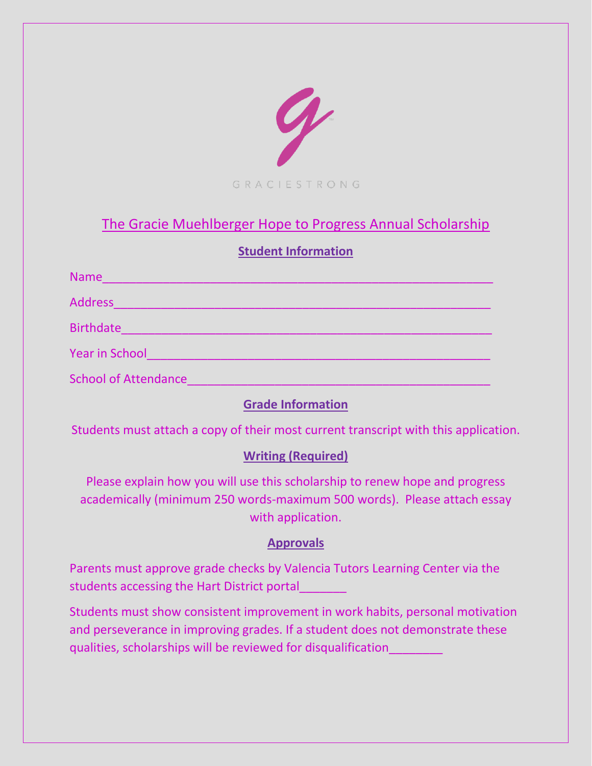

# The Gracie Muehlberger Hope to Progress Annual Scholarship

## **Student Information**

| <b>Name</b>                 |
|-----------------------------|
| <b>Address</b>              |
| <b>Birthdate</b>            |
| <b>Year in School</b>       |
| <b>School of Attendance</b> |

## **Grade Information**

Students must attach a copy of their most current transcript with this application.

## **Writing (Required)**

Please explain how you will use this scholarship to renew hope and progress academically (minimum 250 words-maximum 500 words). Please attach essay with application.

## **Approvals**

Parents must approve grade checks by Valencia Tutors Learning Center via the students accessing the Hart District portal\_\_\_\_\_\_\_

Students must show consistent improvement in work habits, personal motivation and perseverance in improving grades. If a student does not demonstrate these qualities, scholarships will be reviewed for disqualification\_\_\_\_\_\_\_\_